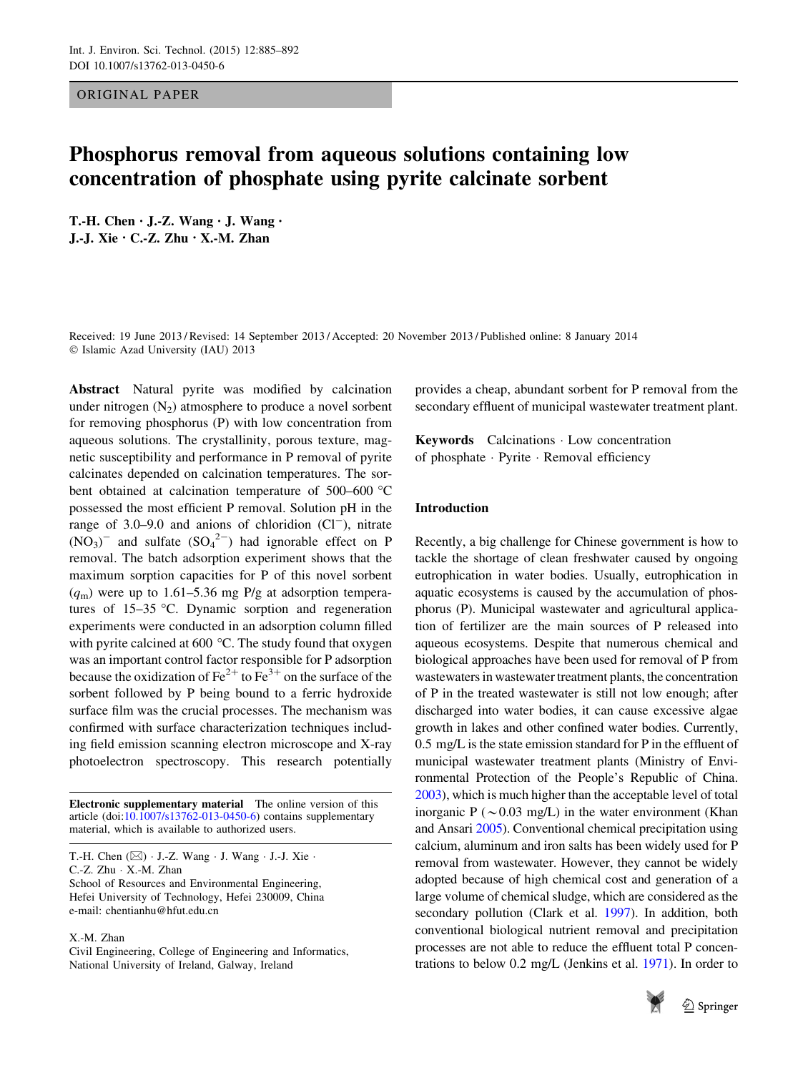## ORIGINAL PAPER

# Phosphorus removal from aqueous solutions containing low concentration of phosphate using pyrite calcinate sorbent

T.-H. Chen • J.-Z. Wang • J. Wang • J.-J. Xie • C.-Z. Zhu • X.-M. Zhan

Received: 19 June 2013 / Revised: 14 September 2013 / Accepted: 20 November 2013 / Published online: 8 January 2014 - Islamic Azad University (IAU) 2013

Abstract Natural pyrite was modified by calcination under nitrogen  $(N_2)$  atmosphere to produce a novel sorbent for removing phosphorus (P) with low concentration from aqueous solutions. The crystallinity, porous texture, magnetic susceptibility and performance in P removal of pyrite calcinates depended on calcination temperatures. The sorbent obtained at calcination temperature of 500–600  $\degree$ C possessed the most efficient P removal. Solution pH in the range of 3.0–9.0 and anions of chloridion  $(Cl^-)$ , nitrate  $(NO<sub>3</sub>)$ <sup>-</sup> and sulfate  $(SO<sub>4</sub><sup>2–</sup>)$  had ignorable effect on P removal. The batch adsorption experiment shows that the maximum sorption capacities for P of this novel sorbent  $(q<sub>m</sub>)$  were up to 1.61–5.36 mg P/g at adsorption temperatures of  $15-35$  °C. Dynamic sorption and regeneration experiments were conducted in an adsorption column filled with pyrite calcined at 600 $^{\circ}$ C. The study found that oxygen was an important control factor responsible for P adsorption because the oxidization of  $\text{Fe}^{2+}$  to  $\text{Fe}^{3+}$  on the surface of the sorbent followed by P being bound to a ferric hydroxide surface film was the crucial processes. The mechanism was confirmed with surface characterization techniques including field emission scanning electron microscope and X-ray photoelectron spectroscopy. This research potentially

Electronic supplementary material The online version of this article (doi:[10.1007/s13762-013-0450-6\)](http://dx.doi.org/10.1007/s13762-013-0450-6) contains supplementary material, which is available to authorized users.

C.-Z. Zhu - X.-M. Zhan

School of Resources and Environmental Engineering, Hefei University of Technology, Hefei 230009, China e-mail: chentianhu@hfut.edu.cn

X.-M. Zhan

Civil Engineering, College of Engineering and Informatics, National University of Ireland, Galway, Ireland

provides a cheap, abundant sorbent for P removal from the secondary effluent of municipal wastewater treatment plant.

Keywords Calcinations - Low concentration of phosphate - Pyrite - Removal efficiency

# Introduction

Recently, a big challenge for Chinese government is how to tackle the shortage of clean freshwater caused by ongoing eutrophication in water bodies. Usually, eutrophication in aquatic ecosystems is caused by the accumulation of phosphorus (P). Municipal wastewater and agricultural application of fertilizer are the main sources of P released into aqueous ecosystems. Despite that numerous chemical and biological approaches have been used for removal of P from wastewaters in wastewater treatment plants, the concentration of P in the treated wastewater is still not low enough; after discharged into water bodies, it can cause excessive algae growth in lakes and other confined water bodies. Currently, 0.5 mg/L is the state emission standard for P in the effluent of municipal wastewater treatment plants (Ministry of Environmental Protection of the People's Republic of China. [2003\)](#page-7-0), which is much higher than the acceptable level of total inorganic P ( $\sim$  0.03 mg/L) in the water environment (Khan and Ansari [2005](#page-7-0)). Conventional chemical precipitation using calcium, aluminum and iron salts has been widely used for P removal from wastewater. However, they cannot be widely adopted because of high chemical cost and generation of a large volume of chemical sludge, which are considered as the secondary pollution (Clark et al. [1997\)](#page-7-0). In addition, both conventional biological nutrient removal and precipitation processes are not able to reduce the effluent total P concentrations to below 0.2 mg/L (Jenkins et al. [1971](#page-7-0)). In order to



T.-H. Chen  $(\boxtimes)$  · J.-Z. Wang · J. Wang · J.-J. Xie ·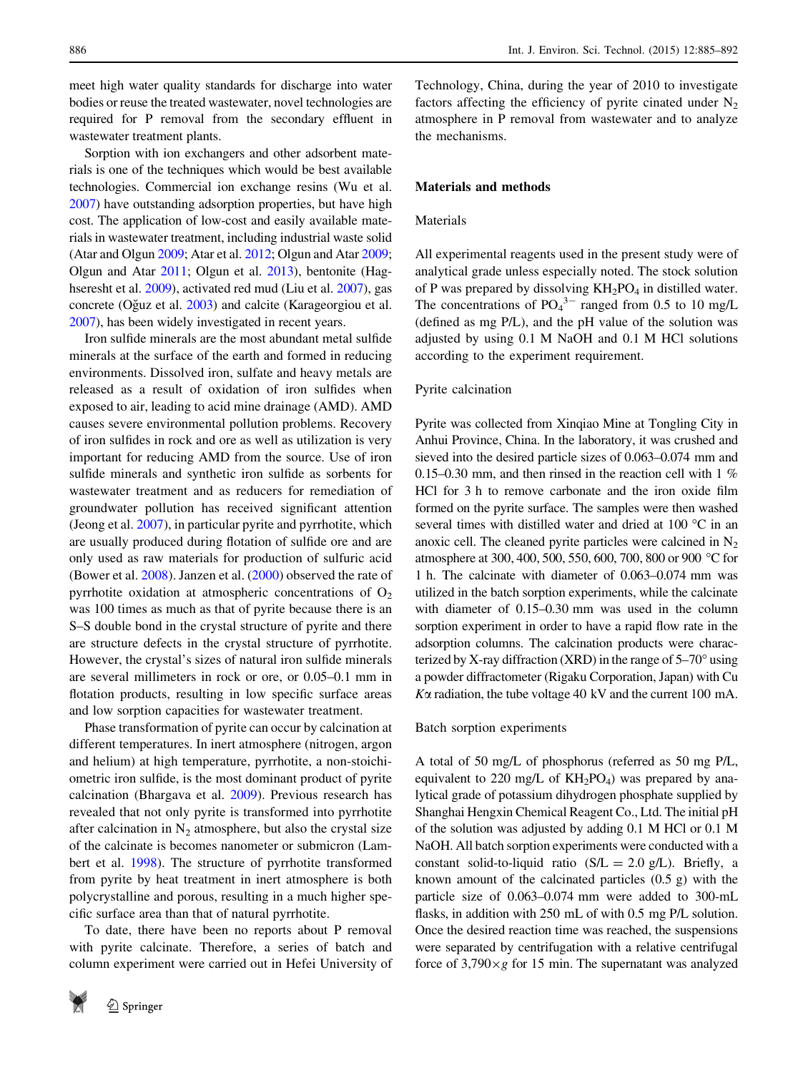meet high water quality standards for discharge into water bodies or reuse the treated wastewater, novel technologies are required for P removal from the secondary effluent in wastewater treatment plants.

Sorption with ion exchangers and other adsorbent materials is one of the techniques which would be best available technologies. Commercial ion exchange resins (Wu et al. [2007\)](#page-7-0) have outstanding adsorption properties, but have high cost. The application of low-cost and easily available materials in wastewater treatment, including industrial waste solid (Atar and Olgun [2009;](#page-7-0) Atar et al. [2012](#page-7-0); Olgun and Atar [2009](#page-7-0); Olgun and Atar [2011](#page-7-0); Olgun et al. [2013\)](#page-7-0), bentonite (Haghseresht et al. [2009\)](#page-7-0), activated red mud (Liu et al. [2007\)](#page-7-0), gas concrete (Oğuz et al. [2003](#page-7-0)) and calcite (Karageorgiou et al. [2007\)](#page-7-0), has been widely investigated in recent years.

Iron sulfide minerals are the most abundant metal sulfide minerals at the surface of the earth and formed in reducing environments. Dissolved iron, sulfate and heavy metals are released as a result of oxidation of iron sulfides when exposed to air, leading to acid mine drainage (AMD). AMD causes severe environmental pollution problems. Recovery of iron sulfides in rock and ore as well as utilization is very important for reducing AMD from the source. Use of iron sulfide minerals and synthetic iron sulfide as sorbents for wastewater treatment and as reducers for remediation of groundwater pollution has received significant attention (Jeong et al. [2007\)](#page-7-0), in particular pyrite and pyrrhotite, which are usually produced during flotation of sulfide ore and are only used as raw materials for production of sulfuric acid (Bower et al. [2008](#page-7-0)). Janzen et al. ([2000\)](#page-7-0) observed the rate of pyrrhotite oxidation at atmospheric concentrations of  $O_2$ was 100 times as much as that of pyrite because there is an S–S double bond in the crystal structure of pyrite and there are structure defects in the crystal structure of pyrrhotite. However, the crystal's sizes of natural iron sulfide minerals are several millimeters in rock or ore, or 0.05–0.1 mm in flotation products, resulting in low specific surface areas and low sorption capacities for wastewater treatment.

Phase transformation of pyrite can occur by calcination at different temperatures. In inert atmosphere (nitrogen, argon and helium) at high temperature, pyrrhotite, a non-stoichiometric iron sulfide, is the most dominant product of pyrite calcination (Bhargava et al. [2009\)](#page-7-0). Previous research has revealed that not only pyrite is transformed into pyrrhotite after calcination in  $N_2$  atmosphere, but also the crystal size of the calcinate is becomes nanometer or submicron (Lambert et al. [1998\)](#page-7-0). The structure of pyrrhotite transformed from pyrite by heat treatment in inert atmosphere is both polycrystalline and porous, resulting in a much higher specific surface area than that of natural pyrrhotite.

To date, there have been no reports about P removal with pyrite calcinate. Therefore, a series of batch and column experiment were carried out in Hefei University of

Technology, China, during the year of 2010 to investigate factors affecting the efficiency of pyrite cinated under  $N_2$ atmosphere in P removal from wastewater and to analyze the mechanisms.

## Materials and methods

#### Materials

All experimental reagents used in the present study were of analytical grade unless especially noted. The stock solution of P was prepared by dissolving  $KH_2PO_4$  in distilled water. The concentrations of  $PO_4^{3-}$  ranged from 0.5 to 10 mg/L (defined as mg P/L), and the pH value of the solution was adjusted by using 0.1 M NaOH and 0.1 M HCl solutions according to the experiment requirement.

#### Pyrite calcination

Pyrite was collected from Xinqiao Mine at Tongling City in Anhui Province, China. In the laboratory, it was crushed and sieved into the desired particle sizes of 0.063–0.074 mm and 0.15–0.30 mm, and then rinsed in the reaction cell with  $1\%$ HCl for 3 h to remove carbonate and the iron oxide film formed on the pyrite surface. The samples were then washed several times with distilled water and dried at  $100^{\circ}$ C in an anoxic cell. The cleaned pyrite particles were calcined in  $N_2$ atmosphere at 300, 400, 500, 550, 600, 700, 800 or 900 °C for 1 h. The calcinate with diameter of 0.063–0.074 mm was utilized in the batch sorption experiments, while the calcinate with diameter of 0.15–0.30 mm was used in the column sorption experiment in order to have a rapid flow rate in the adsorption columns. The calcination products were characterized by X-ray diffraction (XRD) in the range of  $5-70^{\circ}$  using a powder diffractometer (Rigaku Corporation, Japan) with Cu  $K\alpha$  radiation, the tube voltage 40 kV and the current 100 mA.

#### Batch sorption experiments

A total of 50 mg/L of phosphorus (referred as 50 mg P/L, equivalent to 220 mg/L of  $KH_2PO_4$ ) was prepared by analytical grade of potassium dihydrogen phosphate supplied by Shanghai Hengxin Chemical Reagent Co., Ltd. The initial pH of the solution was adjusted by adding 0.1 M HCl or 0.1 M NaOH. All batch sorption experiments were conducted with a constant solid-to-liquid ratio ( $S/L = 2.0$  g/L). Briefly, a known amount of the calcinated particles (0.5 g) with the particle size of 0.063–0.074 mm were added to 300-mL flasks, in addition with 250 mL of with 0.5 mg P/L solution. Once the desired reaction time was reached, the suspensions were separated by centrifugation with a relative centrifugal force of  $3,790 \times g$  for 15 min. The supernatant was analyzed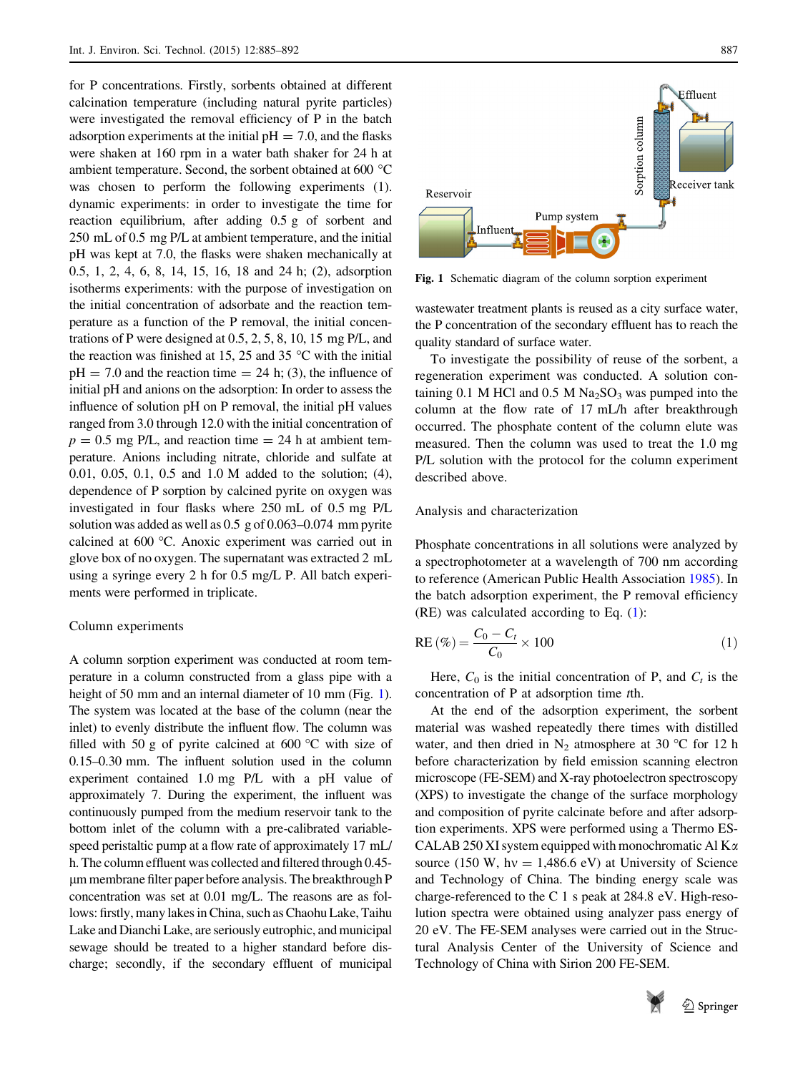for P concentrations. Firstly, sorbents obtained at different calcination temperature (including natural pyrite particles) were investigated the removal efficiency of P in the batch adsorption experiments at the initial  $pH = 7.0$ , and the flasks were shaken at 160 rpm in a water bath shaker for 24 h at ambient temperature. Second, the sorbent obtained at 600  $^{\circ}$ C was chosen to perform the following experiments (1). dynamic experiments: in order to investigate the time for reaction equilibrium, after adding 0.5 g of sorbent and 250 mL of 0.5 mg P/L at ambient temperature, and the initial pH was kept at 7.0, the flasks were shaken mechanically at 0.5, 1, 2, 4, 6, 8, 14, 15, 16, 18 and 24 h; (2), adsorption isotherms experiments: with the purpose of investigation on the initial concentration of adsorbate and the reaction temperature as a function of the P removal, the initial concentrations of P were designed at 0.5, 2, 5, 8, 10, 15 mg P/L, and the reaction was finished at 15, 25 and 35  $\degree$ C with the initial  $pH = 7.0$  and the reaction time = 24 h; (3), the influence of initial pH and anions on the adsorption: In order to assess the influence of solution pH on P removal, the initial pH values ranged from 3.0 through 12.0 with the initial concentration of  $p = 0.5$  mg P/L, and reaction time  $= 24$  h at ambient temperature. Anions including nitrate, chloride and sulfate at 0.01, 0.05, 0.1, 0.5 and 1.0 M added to the solution; (4), dependence of P sorption by calcined pyrite on oxygen was investigated in four flasks where 250 mL of 0.5 mg P/L solution was added as well as 0.5 g of 0.063–0.074 mm pyrite calcined at 600 °C. Anoxic experiment was carried out in glove box of no oxygen. The supernatant was extracted 2 mL using a syringe every 2 h for 0.5 mg/L P. All batch experiments were performed in triplicate.

#### Column experiments

A column sorption experiment was conducted at room temperature in a column constructed from a glass pipe with a height of 50 mm and an internal diameter of 10 mm (Fig. 1). The system was located at the base of the column (near the inlet) to evenly distribute the influent flow. The column was filled with 50 g of pyrite calcined at 600  $\degree$ C with size of 0.15–0.30 mm. The influent solution used in the column experiment contained 1.0 mg P/L with a pH value of approximately 7. During the experiment, the influent was continuously pumped from the medium reservoir tank to the bottom inlet of the column with a pre-calibrated variablespeed peristaltic pump at a flow rate of approximately 17 mL/ h. The column effluent was collected and filtered through 0.45 lm membrane filter paper before analysis. The breakthrough P concentration was set at 0.01 mg/L. The reasons are as follows: firstly, many lakes in China, such as Chaohu Lake, Taihu Lake and Dianchi Lake, are seriously eutrophic, and municipal sewage should be treated to a higher standard before discharge; secondly, if the secondary effluent of municipal



Fig. 1 Schematic diagram of the column sorption experiment

wastewater treatment plants is reused as a city surface water, the P concentration of the secondary effluent has to reach the quality standard of surface water.

To investigate the possibility of reuse of the sorbent, a regeneration experiment was conducted. A solution containing 0.1 M HCl and 0.5 M Na<sub>2</sub>SO<sub>3</sub> was pumped into the column at the flow rate of 17 mL/h after breakthrough occurred. The phosphate content of the column elute was measured. Then the column was used to treat the 1.0 mg P/L solution with the protocol for the column experiment described above.

## Analysis and characterization

Phosphate concentrations in all solutions were analyzed by a spectrophotometer at a wavelength of 700 nm according to reference (American Public Health Association [1985\)](#page-7-0). In the batch adsorption experiment, the P removal efficiency (RE) was calculated according to Eq. (1):

$$
RE\left(\% \right) = \frac{C_0 - C_t}{C_0} \times 100\tag{1}
$$

Here,  $C_0$  is the initial concentration of P, and  $C_t$  is the concentration of P at adsorption time tth.

At the end of the adsorption experiment, the sorbent material was washed repeatedly there times with distilled water, and then dried in  $N_2$  atmosphere at 30 °C for 12 h before characterization by field emission scanning electron microscope (FE-SEM) and X-ray photoelectron spectroscopy (XPS) to investigate the change of the surface morphology and composition of pyrite calcinate before and after adsorption experiments. XPS were performed using a Thermo ES-CALAB 250 XI system equipped with monochromatic Al  $K_{\alpha}$ source (150 W, hv = 1,486.6 eV) at University of Science and Technology of China. The binding energy scale was charge-referenced to the C 1 s peak at 284.8 eV. High-resolution spectra were obtained using analyzer pass energy of 20 eV. The FE-SEM analyses were carried out in the Structural Analysis Center of the University of Science and Technology of China with Sirion 200 FE-SEM.

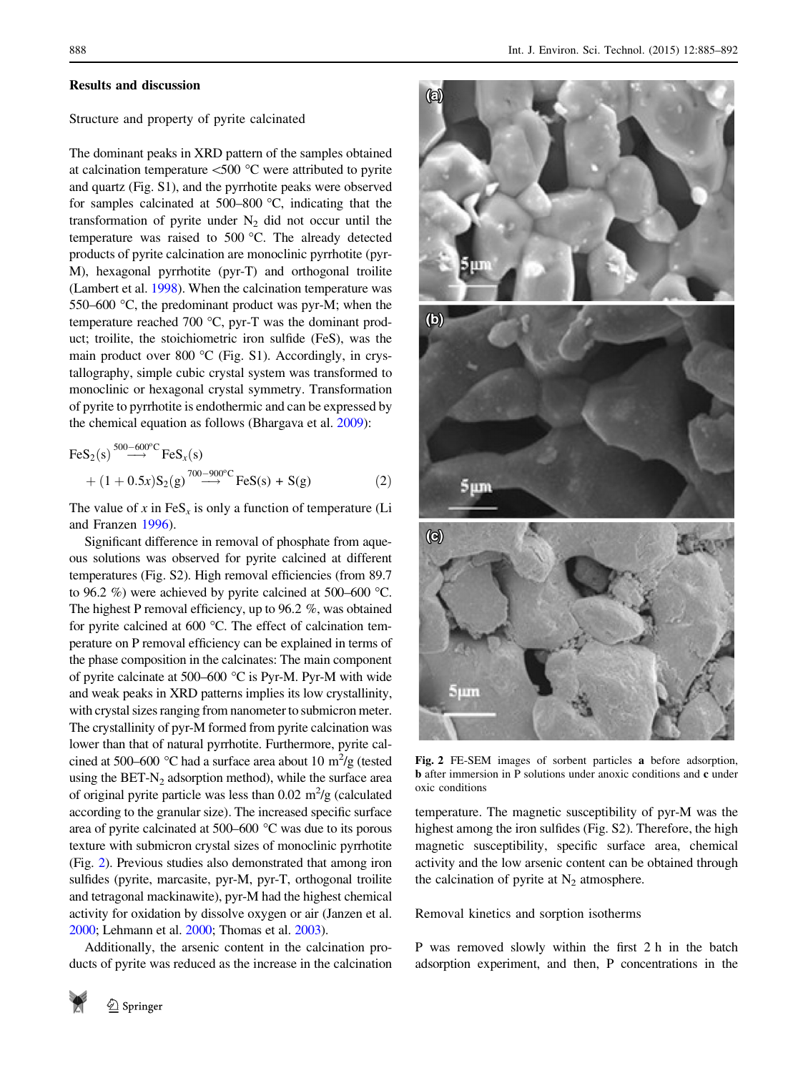#### <span id="page-3-0"></span>Results and discussion

## Structure and property of pyrite calcinated

The dominant peaks in XRD pattern of the samples obtained at calcination temperature  $<500$  °C were attributed to pyrite and quartz (Fig. S1), and the pyrrhotite peaks were observed for samples calcinated at  $500-800$  °C, indicating that the transformation of pyrite under  $N_2$  did not occur until the temperature was raised to 500 °C. The already detected products of pyrite calcination are monoclinic pyrrhotite (pyr-M), hexagonal pyrrhotite (pyr-T) and orthogonal troilite (Lambert et al. [1998\)](#page-7-0). When the calcination temperature was 550–600  $\degree$ C, the predominant product was pyr-M; when the temperature reached 700  $^{\circ}$ C, pyr-T was the dominant product; troilite, the stoichiometric iron sulfide (FeS), was the main product over 800  $^{\circ}$ C (Fig. S1). Accordingly, in crystallography, simple cubic crystal system was transformed to monoclinic or hexagonal crystal symmetry. Transformation of pyrite to pyrrhotite is endothermic and can be expressed by the chemical equation as follows (Bhargava et al. [2009](#page-7-0)):

$$
\begin{aligned} \text{FeS}_2(\text{s}) & \xrightarrow{500-600^\circ \text{C}} \text{FeS}_x(\text{s}) \\ &+ (1+0.5x) \text{S}_2(\text{g}) \xrightarrow{700-900^\circ \text{C}} \text{FeS}(\text{s}) + \text{S}(\text{g}) \end{aligned} \tag{2}
$$

The value of x in  $FeS<sub>x</sub>$  is only a function of temperature (Li and Franzen [1996](#page-7-0)).

Significant difference in removal of phosphate from aqueous solutions was observed for pyrite calcined at different temperatures (Fig. S2). High removal efficiencies (from 89.7 to 96.2 %) were achieved by pyrite calcined at 500–600 °C. The highest P removal efficiency, up to 96.2 %, was obtained for pyrite calcined at  $600 \degree C$ . The effect of calcination temperature on P removal efficiency can be explained in terms of the phase composition in the calcinates: The main component of pyrite calcinate at 500–600  $\degree$ C is Pyr-M. Pyr-M with wide and weak peaks in XRD patterns implies its low crystallinity, with crystal sizes ranging from nanometer to submicron meter. The crystallinity of pyr-M formed from pyrite calcination was lower than that of natural pyrrhotite. Furthermore, pyrite calcined at 500–600 °C had a surface area about 10  $\text{m}^2/\text{g}$  (tested using the BET- $N_2$  adsorption method), while the surface area of original pyrite particle was less than  $0.02 \text{ m}^2/\text{g}$  (calculated according to the granular size). The increased specific surface area of pyrite calcinated at 500–600  $\degree$ C was due to its porous texture with submicron crystal sizes of monoclinic pyrrhotite (Fig. 2). Previous studies also demonstrated that among iron sulfides (pyrite, marcasite, pyr-M, pyr-T, orthogonal troilite and tetragonal mackinawite), pyr-M had the highest chemical activity for oxidation by dissolve oxygen or air (Janzen et al. [2000](#page-7-0); Lehmann et al. [2000](#page-7-0); Thomas et al. [2003\)](#page-7-0).

Additionally, the arsenic content in the calcination products of pyrite was reduced as the increase in the calcination





Fig. 2 FE-SEM images of sorbent particles a before adsorption, b after immersion in P solutions under anoxic conditions and c under oxic conditions

temperature. The magnetic susceptibility of pyr-M was the highest among the iron sulfides (Fig. S2). Therefore, the high magnetic susceptibility, specific surface area, chemical activity and the low arsenic content can be obtained through the calcination of pyrite at  $N_2$  atmosphere.

Removal kinetics and sorption isotherms

P was removed slowly within the first 2 h in the batch adsorption experiment, and then, P concentrations in the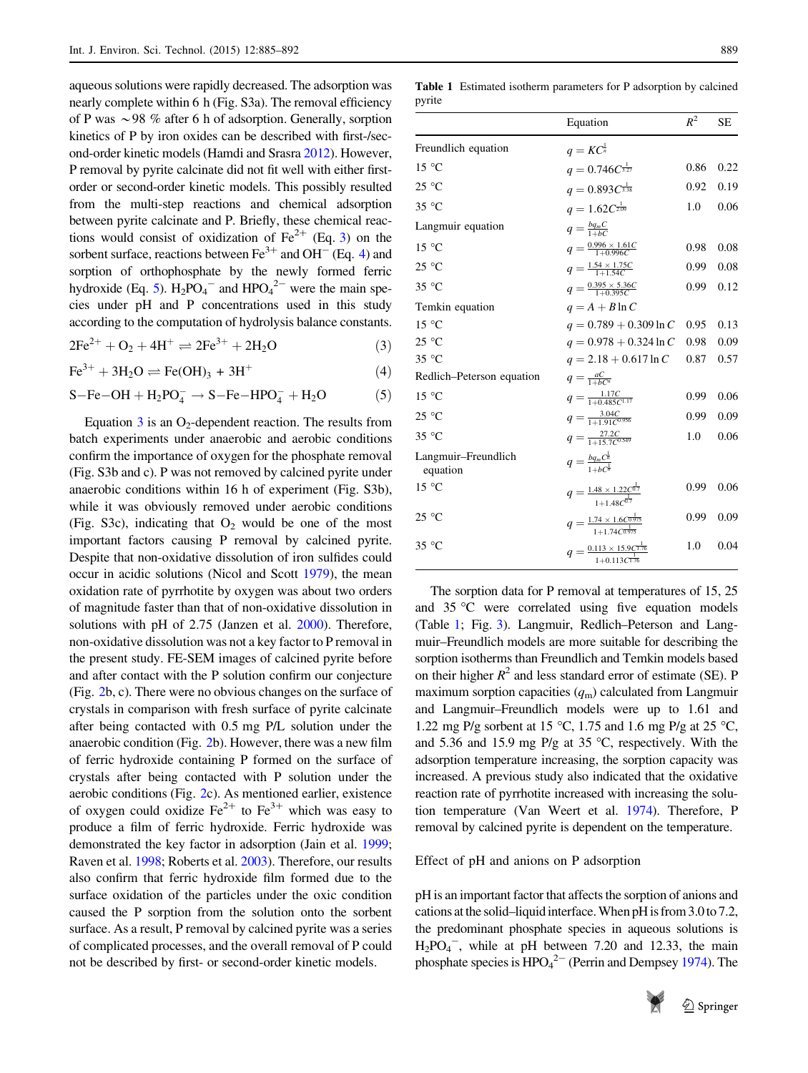<span id="page-4-0"></span>aqueous solutions were rapidly decreased. The adsorption was nearly complete within 6 h (Fig. S3a). The removal efficiency of P was  $\sim$ 98 % after 6 h of adsorption. Generally, sorption kinetics of P by iron oxides can be described with first-/second-order kinetic models (Hamdi and Srasra [2012](#page-7-0)). However, P removal by pyrite calcinate did not fit well with either firstorder or second-order kinetic models. This possibly resulted from the multi-step reactions and chemical adsorption between pyrite calcinate and P. Briefly, these chemical reactions would consist of oxidization of  $Fe^{2+}$  (Eq. 3) on the sorbent surface, reactions between  $Fe^{3+}$  and OH<sup>-</sup> (Eq. 4) and sorption of orthophosphate by the newly formed ferric hydroxide (Eq. 5).  $H_2PO_4^-$  and  $HPO_4^{2-}$  were the main species under pH and P concentrations used in this study according to the computation of hydrolysis balance constants.

 $2Fe^{2+} + O_2 + 4H^+ \rightleftharpoons 2Fe^{3+} + 2H_2O$  (3)

 $Fe^{3+} + 3H_2O \rightleftharpoons Fe(OH)_3 + 3H^+$  (4)

 $S-Fe-OH + H_2PO_4^- \rightarrow S-Fe-HPO_4^- + H_2O$  (5)

Equation  $3$  is an O<sub>2</sub>-dependent reaction. The results from batch experiments under anaerobic and aerobic conditions confirm the importance of oxygen for the phosphate removal (Fig. S3b and c). P was not removed by calcined pyrite under anaerobic conditions within 16 h of experiment (Fig. S3b), while it was obviously removed under aerobic conditions (Fig. S3c), indicating that  $O_2$  would be one of the most important factors causing P removal by calcined pyrite. Despite that non-oxidative dissolution of iron sulfides could occur in acidic solutions (Nicol and Scott [1979\)](#page-7-0), the mean oxidation rate of pyrrhotite by oxygen was about two orders of magnitude faster than that of non-oxidative dissolution in solutions with pH of 2.75 (Janzen et al. [2000](#page-7-0)). Therefore, non-oxidative dissolution was not a key factor to P removal in the present study. FE-SEM images of calcined pyrite before and after contact with the P solution confirm our conjecture (Fig. [2b](#page-3-0), c). There were no obvious changes on the surface of crystals in comparison with fresh surface of pyrite calcinate after being contacted with 0.5 mg P/L solution under the anaerobic condition (Fig. [2b](#page-3-0)). However, there was a new film of ferric hydroxide containing P formed on the surface of crystals after being contacted with P solution under the aerobic conditions (Fig. [2c](#page-3-0)). As mentioned earlier, existence of oxygen could oxidize  $\text{Fe}^{2+}$  to  $\text{Fe}^{3+}$  which was easy to produce a film of ferric hydroxide. Ferric hydroxide was demonstrated the key factor in adsorption (Jain et al. [1999](#page-7-0); Raven et al. [1998;](#page-7-0) Roberts et al. [2003](#page-7-0)). Therefore, our results also confirm that ferric hydroxide film formed due to the surface oxidation of the particles under the oxic condition caused the P sorption from the solution onto the sorbent surface. As a result, P removal by calcined pyrite was a series of complicated processes, and the overall removal of P could not be described by first- or second-order kinetic models.

Table 1 Estimated isotherm parameters for P adsorption by calcined pyrite

|                                 | Equation                                                                       | $R^2$ | <b>SE</b> |
|---------------------------------|--------------------------------------------------------------------------------|-------|-----------|
| Freundlich equation             | $q = KC^{\frac{1}{n}}$                                                         |       |           |
| $15^{\circ}$ C                  | $q = 0.746C^{\frac{1}{3.27}}$                                                  | 0.86  | 0.22      |
| $25^{\circ}$ C                  | $q = 0.893C^{\frac{1}{3.38}}$                                                  | 0.92  | 0.19      |
| 35 °C                           | $q=1.62C_{2.09}^{\frac{1}{2.09}}$                                              | 1.0   | 0.06      |
| Langmuir equation               | $q=\frac{bq_{m}C}{1+bC}$                                                       |       |           |
| 15 °C                           | $q = \frac{0.996 \times 1.61C}{1 + 0.996C}$                                    | 0.98  | 0.08      |
| 25 °C                           | $q = \frac{1.54 \times 1.75C}{1+1.54C}$                                        | 0.99  | 0.08      |
| $35^{\circ}$ C                  | $q=\frac{0.395\times 5.36C}{1+0.395C}$                                         | 0.99  | 0.12      |
| Temkin equation                 | $q = A + B \ln C$                                                              |       |           |
| $15^{\circ}$ C                  | $q = 0.789 + 0.309 \ln C$                                                      | 0.95  | 0.13      |
| $25^{\circ}$ C                  | $q = 0.978 + 0.324 \ln C$                                                      | 0.98  | 0.09      |
| $35^{\circ}$ C                  | $q = 2.18 + 0.617 \ln C$                                                       | 0.87  | 0.57      |
| Redlich-Peterson equation       | $q = \frac{aC}{1 + bC^n}$                                                      |       |           |
| 15 °C                           | $q=\frac{1.17C}{1+0.485C^{1.17}}$                                              | 0.99  | 0.06      |
| $25^{\circ}$ C                  | $q=\frac{3.04C}{1+1.91C^{0.956}}$                                              | 0.99  | 0.09      |
| $35^{\circ}$ C                  | $q=\frac{27.2C}{1+15.7C^{0.549}}$                                              | 1.0   | 0.06      |
| Langmuir-Freundlich<br>equation | $q = \frac{b q_m C^{\frac{1}{n}}}{1 + b C^{\frac{1}{n}}}$                      |       |           |
| $15^{\circ}$ C                  | $q = \frac{1.48 \times 1.22 C^{\frac{1}{0.7}}}{1+1.48 C^{\frac{1}{0.7}}}$      | 0.99  | 0.06      |
| $25^{\circ}$ C                  | $q = \frac{1.74 \times 1.6 C^{\frac{1}{0.975}}}{1 + 1.74 C^{\frac{1}{0.975}}}$ | 0.99  | 0.09      |
| 35 °C                           | $q=\frac{0.113\times15.9C^{1.76}}{1+0.113C^{1.76}}$                            | 1.0   | 0.04      |

The sorption data for P removal at temperatures of 15, 25 and  $35 \degree$ C were correlated using five equation models (Table 1; Fig. [3\)](#page-5-0). Langmuir, Redlich–Peterson and Langmuir–Freundlich models are more suitable for describing the sorption isotherms than Freundlich and Temkin models based on their higher  $R^2$  and less standard error of estimate (SE). P maximum sorption capacities  $(q<sub>m</sub>)$  calculated from Langmuir and Langmuir–Freundlich models were up to 1.61 and 1.22 mg P/g sorbent at 15 °C, 1.75 and 1.6 mg P/g at 25 °C, and 5.36 and 15.9 mg P/g at 35  $\degree$ C, respectively. With the adsorption temperature increasing, the sorption capacity was increased. A previous study also indicated that the oxidative reaction rate of pyrrhotite increased with increasing the solution temperature (Van Weert et al. [1974](#page-7-0)). Therefore, P removal by calcined pyrite is dependent on the temperature.

Effect of pH and anions on P adsorption

pH is an important factor that affects the sorption of anions and cations at the solid–liquid interface. When pH is from 3.0 to 7.2, the predominant phosphate species in aqueous solutions is  $H_2PO_4^-$ , while at pH between 7.20 and 12.33, the main phosphate species is  $HPO<sub>4</sub><sup>2–</sup>$  (Perrin and Dempsey [1974\)](#page-7-0). The

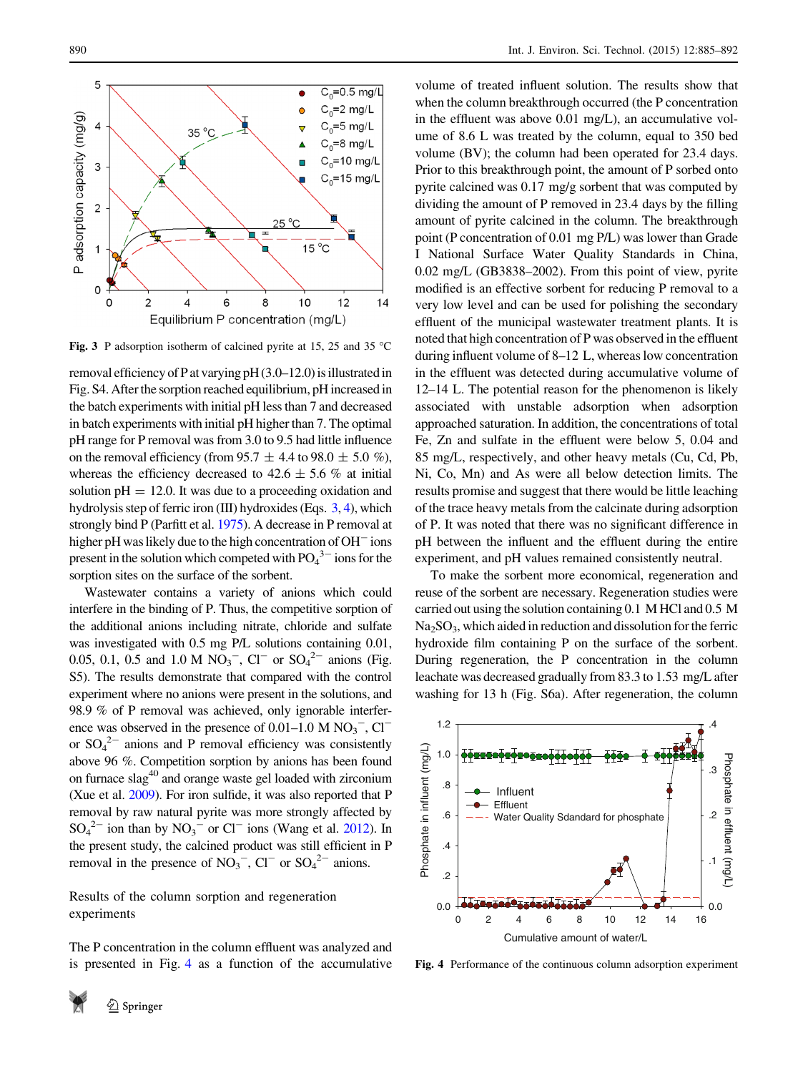<span id="page-5-0"></span>

Fig. 3 P adsorption isotherm of calcined pyrite at 15, 25 and 35  $^{\circ}$ C

removal efficiency of P at varying pH (3.0–12.0) is illustrated in Fig. S4. After the sorption reached equilibrium, pH increased in the batch experiments with initial pH less than 7 and decreased in batch experiments with initial pH higher than 7. The optimal pH range for P removal was from 3.0 to 9.5 had little influence on the removal efficiency (from 95.7  $\pm$  4.4 to 98.0  $\pm$  5.0 %), whereas the efficiency decreased to  $42.6 \pm 5.6$  % at initial solution  $pH = 12.0$ . It was due to a proceeding oxidation and hydrolysis step of ferric iron (III) hydroxides (Eqs. [3](#page-4-0), [4](#page-4-0)), which strongly bind P (Parfitt et al. [1975](#page-7-0)). A decrease in P removal at higher pH was likely due to the high concentration of OH<sup>-</sup> ions present in the solution which competed with  $PO_4^3$  ions for the sorption sites on the surface of the sorbent.

Wastewater contains a variety of anions which could interfere in the binding of P. Thus, the competitive sorption of the additional anions including nitrate, chloride and sulfate was investigated with 0.5 mg P/L solutions containing 0.01, 0.05, 0.1, 0.5 and 1.0 M  $NO_3^-$ ,  $Cl^-$  or  $SO_4^{2-}$  anions (Fig. S5). The results demonstrate that compared with the control experiment where no anions were present in the solutions, and 98.9 % of P removal was achieved, only ignorable interference was observed in the presence of  $0.01-1.0$  M  $NO_3^-$ ,  $Cl^$ or  $SO_4^2$  anions and P removal efficiency was consistently above 96 %. Competition sorption by anions has been found on furnace  $slag<sup>40</sup>$  and orange waste gel loaded with zirconium (Xue et al. [2009](#page-7-0)). For iron sulfide, it was also reported that P removal by raw natural pyrite was more strongly affected by  $SO_4^2$ <sup>-</sup> ion than by  $NO_3^-$  or  $Cl^-$  ions (Wang et al. [2012](#page-7-0)). In the present study, the calcined product was still efficient in P removal in the presence of  $NO<sub>3</sub><sup>-</sup>$ , Cl<sup>-</sup> or  $SO<sub>4</sub><sup>2-</sup>$  anions.

Results of the column sorption and regeneration experiments

The P concentration in the column effluent was analyzed and is presented in Fig. 4 as a function of the accumulative

volume of treated influent solution. The results show that when the column breakthrough occurred (the P concentration in the effluent was above 0.01 mg/L), an accumulative volume of 8.6 L was treated by the column, equal to 350 bed volume (BV); the column had been operated for 23.4 days. Prior to this breakthrough point, the amount of P sorbed onto pyrite calcined was 0.17 mg/g sorbent that was computed by dividing the amount of P removed in 23.4 days by the filling amount of pyrite calcined in the column. The breakthrough point (P concentration of 0.01 mg P/L) was lower than Grade I National Surface Water Quality Standards in China, 0.02 mg/L (GB3838–2002). From this point of view, pyrite modified is an effective sorbent for reducing P removal to a very low level and can be used for polishing the secondary effluent of the municipal wastewater treatment plants. It is noted that high concentration of P was observed in the effluent during influent volume of 8–12 L, whereas low concentration in the effluent was detected during accumulative volume of 12–14 L. The potential reason for the phenomenon is likely associated with unstable adsorption when adsorption approached saturation. In addition, the concentrations of total Fe, Zn and sulfate in the effluent were below 5, 0.04 and 85 mg/L, respectively, and other heavy metals (Cu, Cd, Pb, Ni, Co, Mn) and As were all below detection limits. The results promise and suggest that there would be little leaching of the trace heavy metals from the calcinate during adsorption of P. It was noted that there was no significant difference in pH between the influent and the effluent during the entire experiment, and pH values remained consistently neutral.

To make the sorbent more economical, regeneration and reuse of the sorbent are necessary. Regeneration studies were carried out using the solution containing 0.1 M HCl and 0.5 M  $Na<sub>2</sub>SO<sub>3</sub>$ , which aided in reduction and dissolution for the ferric hydroxide film containing P on the surface of the sorbent. During regeneration, the P concentration in the column leachate was decreased gradually from 83.3 to 1.53 mg/L after washing for 13 h (Fig. S6a). After regeneration, the column



Fig. 4 Performance of the continuous column adsorption experiment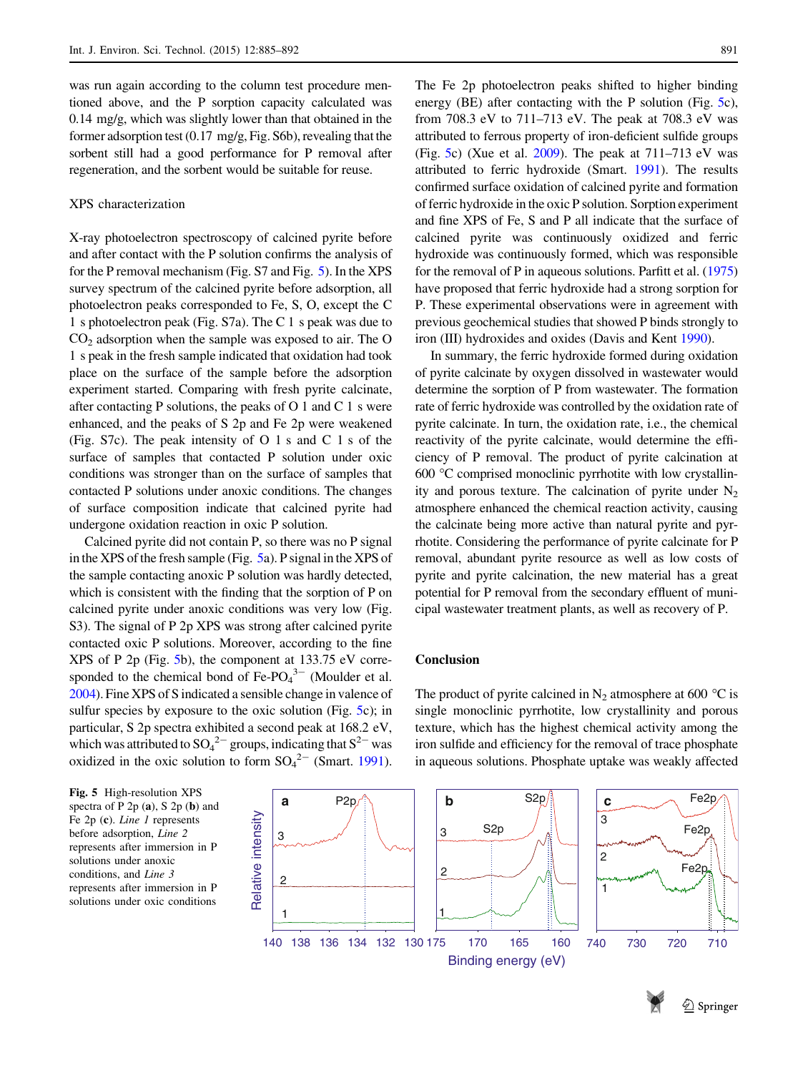was run again according to the column test procedure mentioned above, and the P sorption capacity calculated was 0.14 mg/g, which was slightly lower than that obtained in the former adsorption test (0.17 mg/g, Fig. S6b), revealing that the sorbent still had a good performance for P removal after regeneration, and the sorbent would be suitable for reuse.

#### XPS characterization

X-ray photoelectron spectroscopy of calcined pyrite before and after contact with the P solution confirms the analysis of for the P removal mechanism (Fig. S7 and Fig. 5). In the XPS survey spectrum of the calcined pyrite before adsorption, all photoelectron peaks corresponded to Fe, S, O, except the C 1 s photoelectron peak (Fig. S7a). The C 1 s peak was due to  $CO<sub>2</sub>$  adsorption when the sample was exposed to air. The O 1 s peak in the fresh sample indicated that oxidation had took place on the surface of the sample before the adsorption experiment started. Comparing with fresh pyrite calcinate, after contacting P solutions, the peaks of  $O<sub>1</sub>$  and  $C<sub>1</sub>$  s were enhanced, and the peaks of S 2p and Fe 2p were weakened (Fig. S7c). The peak intensity of O 1 s and C 1 s of the surface of samples that contacted P solution under oxic conditions was stronger than on the surface of samples that contacted P solutions under anoxic conditions. The changes of surface composition indicate that calcined pyrite had undergone oxidation reaction in oxic P solution.

Calcined pyrite did not contain P, so there was no P signal in the XPS of the fresh sample (Fig. 5a). P signal in the XPS of the sample contacting anoxic P solution was hardly detected, which is consistent with the finding that the sorption of P on calcined pyrite under anoxic conditions was very low (Fig. S3). The signal of P 2p XPS was strong after calcined pyrite contacted oxic P solutions. Moreover, according to the fine XPS of P 2p (Fig. 5b), the component at 133.75 eV corresponded to the chemical bond of  $Fe-PO<sub>4</sub><sup>3-</sup>$  (Moulder et al. [2004\)](#page-7-0). Fine XPS of S indicated a sensible change in valence of sulfur species by exposure to the oxic solution (Fig. 5c); in particular, S 2p spectra exhibited a second peak at 168.2 eV, which was attributed to  $SO_4^2$  groups, indicating that  $S^2$  was oxidized in the oxic solution to form  $SO_4^2$ <sup>-</sup> (Smart. [1991](#page-7-0)).

The Fe 2p photoelectron peaks shifted to higher binding energy (BE) after contacting with the P solution (Fig. 5c), from 708.3 eV to 711–713 eV. The peak at 708.3 eV was attributed to ferrous property of iron-deficient sulfide groups (Fig. 5c) (Xue et al. [2009\)](#page-7-0). The peak at  $711-713$  eV was attributed to ferric hydroxide (Smart. [1991](#page-7-0)). The results confirmed surface oxidation of calcined pyrite and formation of ferric hydroxide in the oxic P solution. Sorption experiment and fine XPS of Fe, S and P all indicate that the surface of calcined pyrite was continuously oxidized and ferric hydroxide was continuously formed, which was responsible for the removal of P in aqueous solutions. Parfitt et al. [\(1975\)](#page-7-0) have proposed that ferric hydroxide had a strong sorption for P. These experimental observations were in agreement with previous geochemical studies that showed P binds strongly to iron (III) hydroxides and oxides (Davis and Kent [1990](#page-7-0)).

In summary, the ferric hydroxide formed during oxidation of pyrite calcinate by oxygen dissolved in wastewater would determine the sorption of P from wastewater. The formation rate of ferric hydroxide was controlled by the oxidation rate of pyrite calcinate. In turn, the oxidation rate, i.e., the chemical reactivity of the pyrite calcinate, would determine the efficiency of P removal. The product of pyrite calcination at  $600 \, \degree$ C comprised monoclinic pyrrhotite with low crystallinity and porous texture. The calcination of pyrite under  $N_2$ atmosphere enhanced the chemical reaction activity, causing the calcinate being more active than natural pyrite and pyrrhotite. Considering the performance of pyrite calcinate for P removal, abundant pyrite resource as well as low costs of pyrite and pyrite calcination, the new material has a great potential for P removal from the secondary effluent of municipal wastewater treatment plants, as well as recovery of P.

## Conclusion

spectra of  $P 2p(a)$ ,  $S 2p(b)$  and Fe 2p (c). Line 1 represents before adsorption, Line 2 represents after immersion in P solutions under anoxic conditions, and Line 3 represents after immersion in P solutions under oxic conditions

The product of pyrite calcined in  $N_2$  atmosphere at 600 °C is single monoclinic pyrrhotite, low crystallinity and porous texture, which has the highest chemical activity among the iron sulfide and efficiency for the removal of trace phosphate in aqueous solutions. Phosphate uptake was weakly affected